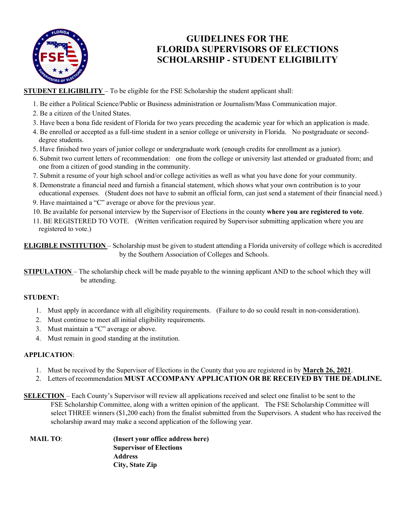

## **GUIDELINES FOR THE FLORIDA SUPERVISORS OF ELECTIONS SCHOLARSHIP - STUDENT ELIGIBILITY**

**STUDENT ELIGIBILITY** – To be eligible for the FSE Scholarship the student applicant shall:

- 1. Be either a Political Science/Public or Business administration or Journalism/Mass Communication major.
- 2. Be a citizen of the United States.
- 3. Have been a bona fide resident of Florida for two years preceding the academic year for which an application is made.
- 4. Be enrolled or accepted as a full-time student in a senior college or university in Florida. No postgraduate or seconddegree students.
- 5. Have finished two years of junior college or undergraduate work (enough credits for enrollment as a junior).
- 6. Submit two current letters of recommendation: one from the college or university last attended or graduated from; and one from a citizen of good standing in the community.
- 7. Submit a resume of your high school and/or college activities as well as what you have done for your community.
- 8. Demonstrate a financial need and furnish a financial statement, which shows what your own contribution is to your educational expenses. (Student does not have to submit an official form, can just send a statement of their financial need.)
- 9. Have maintained a "C" average or above for the previous year.
- 10. Be available for personal interview by the Supervisor of Elections in the county **where you are registered to vote**.
- 11. BE REGISTERED TO VOTE. (Written verification required by Supervisor submitting application where you are registered to vote.)

**ELIGIBLE INSTITUTION** – Scholarship must be given to student attending a Florida university of college which is accredited by the Southern Association of Colleges and Schools.

**STIPULATION** – The scholarship check will be made payable to the winning applicant AND to the school which they will be attending.

## **STUDENT:**

- 1. Must apply in accordance with all eligibility requirements. (Failure to do so could result in non-consideration).
- 2. Must continue to meet all initial eligibility requirements.
- 3. Must maintain a "C" average or above.
- 4. Must remain in good standing at the institution.

## **APPLICATION**:

- 1. Must be received by the Supervisor of Elections in the County that you are registered in by **March 26, 2021**.
- 2. Letters of recommendation **MUST ACCOMPANY APPLICATION OR BE RECEIVED BY THE DEADLINE.**
- **SELECTION**  Each County's Supervisor will review all applications received and select one finalist to be sent to the FSE Scholarship Committee, along with a written opinion of the applicant. The FSE Scholarship Committee will select THREE winners (\$1,200 each) from the finalist submitted from the Supervisors. A student who has received the scholarship award may make a second application of the following year.

| <b>MAIL TO:</b> | (Insert your office address here) |
|-----------------|-----------------------------------|
|                 | <b>Supervisor of Elections</b>    |
|                 | <b>Address</b>                    |
|                 | City, State Zip                   |